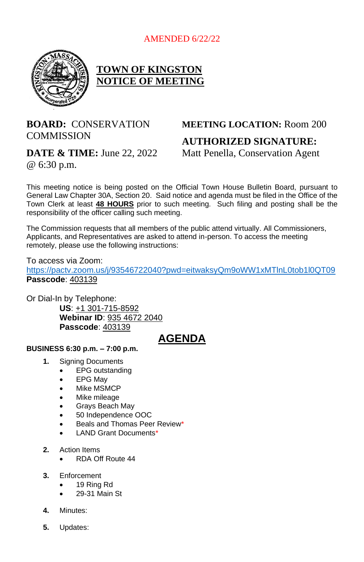

## **TOWN OF KINGSTON NOTICE OF MEETING**

## **BOARD:** CONSERVATION **COMMISSION**

**DATE & TIME:** June 22, 2022 @ 6:30 p.m.

# **MEETING LOCATION:** Room 200 **AUTHORIZED SIGNATURE:**

Matt Penella, Conservation Agent

This meeting notice is being posted on the Official Town House Bulletin Board, pursuant to General Law Chapter 30A, Section 20. Said notice and agenda must be filed in the Office of the Town Clerk at least **48 HOURS** prior to such meeting. Such filing and posting shall be the responsibility of the officer calling such meeting.

The Commission requests that all members of the public attend virtually. All Commissioners, Applicants, and Representatives are asked to attend in-person. To access the meeting remotely, please use the following instructions:

To access via Zoom: <https://pactv.zoom.us/j/93546722040?pwd=eitwaksyQm9oWW1xMTlnL0tob1l0QT09> **Passcode**: 403139

Or Dial-In by Telephone:

**US**: +1 301-715-8592 **Webinar ID**: 935 4672 2040 **Passcode**: 403139

## **AGENDA**

#### **BUSINESS 6:30 p.m. – 7:00 p.m.**

- **1.** Signing Documents
	- EPG outstanding
	- EPG May
	- Mike MSMCP
	- Mike mileage
	- Grays Beach May
	- 50 Independence OOC
	- Beals and Thomas Peer Review\*
	- LAND Grant Documents\*

#### **2.** Action Items

- RDA Off Route 44
- **3.** Enforcement
	- 19 Ring Rd
	- 29-31 Main St
- **4.** Minutes:
- **5.** Updates: